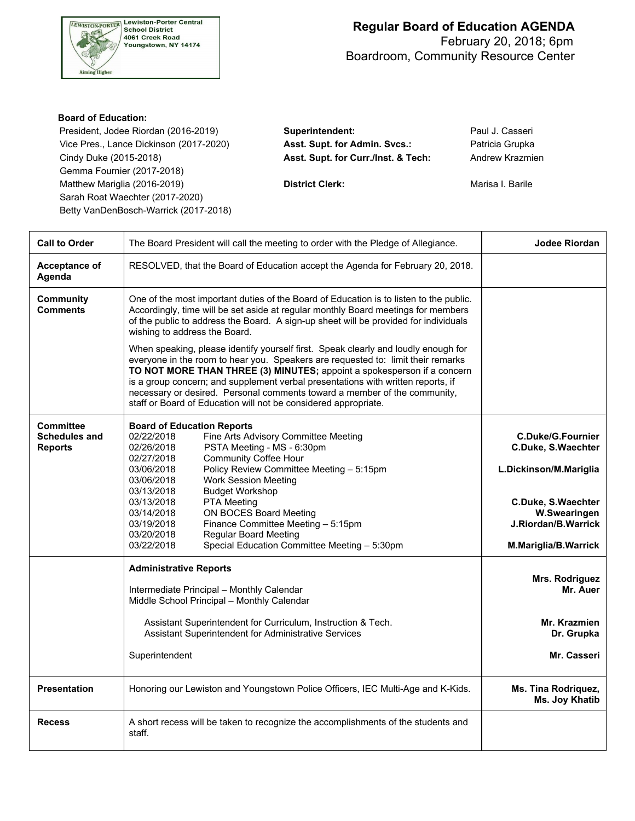

## **Regular Board of Education AGENDA** February 20, 2018; 6pm Boardroom, Community Resource Center

#### **Board of Education:**

 President, Jodee Riordan (2016-2019) **Superintendent:** Paul J. Casseri Vice Pres., Lance Dickinson (2017-2020) **Asst. Supt. for Admin. Svcs.:** Patricia Grupka Cindy Duke (2015-2018) **Asst. Supt. for Curr./Inst. & Tech:** Andrew Krazmien Gemma Fournier (2017-2018) Matthew Mariglia (2016-2019) **District Clerk: District Clerk:** Marisa I. Barile Sarah Roat Waechter (2017-2020) Betty VanDenBosch-Warrick (2017-2018)

| <b>Call to Order</b>                                       | The Board President will call the meeting to order with the Pledge of Allegiance.                                                                                                                                                                                                                                                                                                                                                                                                     | <b>Jodee Riordan</b>                                      |
|------------------------------------------------------------|---------------------------------------------------------------------------------------------------------------------------------------------------------------------------------------------------------------------------------------------------------------------------------------------------------------------------------------------------------------------------------------------------------------------------------------------------------------------------------------|-----------------------------------------------------------|
| Acceptance of<br>Agenda                                    | RESOLVED, that the Board of Education accept the Agenda for February 20, 2018.                                                                                                                                                                                                                                                                                                                                                                                                        |                                                           |
| Community<br><b>Comments</b>                               | One of the most important duties of the Board of Education is to listen to the public.<br>Accordingly, time will be set aside at regular monthly Board meetings for members<br>of the public to address the Board. A sign-up sheet will be provided for individuals<br>wishing to address the Board.                                                                                                                                                                                  |                                                           |
|                                                            | When speaking, please identify yourself first. Speak clearly and loudly enough for<br>everyone in the room to hear you. Speakers are requested to: limit their remarks<br>TO NOT MORE THAN THREE (3) MINUTES; appoint a spokesperson if a concern<br>is a group concern; and supplement verbal presentations with written reports, if<br>necessary or desired. Personal comments toward a member of the community,<br>staff or Board of Education will not be considered appropriate. |                                                           |
| <b>Committee</b><br><b>Schedules and</b><br><b>Reports</b> | <b>Board of Education Reports</b><br>02/22/2018<br>Fine Arts Advisory Committee Meeting<br>02/26/2018<br>PSTA Meeting - MS - 6:30pm<br><b>Community Coffee Hour</b><br>02/27/2018                                                                                                                                                                                                                                                                                                     | <b>C.Duke/G.Fournier</b><br>C.Duke, S.Waechter            |
|                                                            | Policy Review Committee Meeting - 5:15pm<br>03/06/2018<br>03/06/2018<br><b>Work Session Meeting</b><br>03/13/2018<br><b>Budget Workshop</b>                                                                                                                                                                                                                                                                                                                                           | L.Dickinson/M.Mariglia                                    |
|                                                            | 03/13/2018<br>PTA Meeting<br>03/14/2018<br>ON BOCES Board Meeting<br>Finance Committee Meeting - 5:15pm<br>03/19/2018<br>03/20/2018<br><b>Regular Board Meeting</b><br>03/22/2018<br>Special Education Committee Meeting - 5:30pm                                                                                                                                                                                                                                                     | C.Duke, S.Waechter<br>W.Swearingen<br>J.Riordan/B.Warrick |
|                                                            |                                                                                                                                                                                                                                                                                                                                                                                                                                                                                       | M.Mariglia/B.Warrick                                      |
|                                                            | <b>Administrative Reports</b><br>Intermediate Principal - Monthly Calendar<br>Middle School Principal - Monthly Calendar                                                                                                                                                                                                                                                                                                                                                              | Mrs. Rodriguez<br>Mr. Auer                                |
|                                                            | Assistant Superintendent for Curriculum, Instruction & Tech.<br>Assistant Superintendent for Administrative Services                                                                                                                                                                                                                                                                                                                                                                  | Mr. Krazmien<br>Dr. Grupka                                |
|                                                            | Superintendent                                                                                                                                                                                                                                                                                                                                                                                                                                                                        | Mr. Casseri                                               |
| <b>Presentation</b>                                        | Honoring our Lewiston and Youngstown Police Officers, IEC Multi-Age and K-Kids.                                                                                                                                                                                                                                                                                                                                                                                                       | Ms. Tina Rodriquez,<br>Ms. Joy Khatib                     |
| <b>Recess</b>                                              | A short recess will be taken to recognize the accomplishments of the students and<br>staff.                                                                                                                                                                                                                                                                                                                                                                                           |                                                           |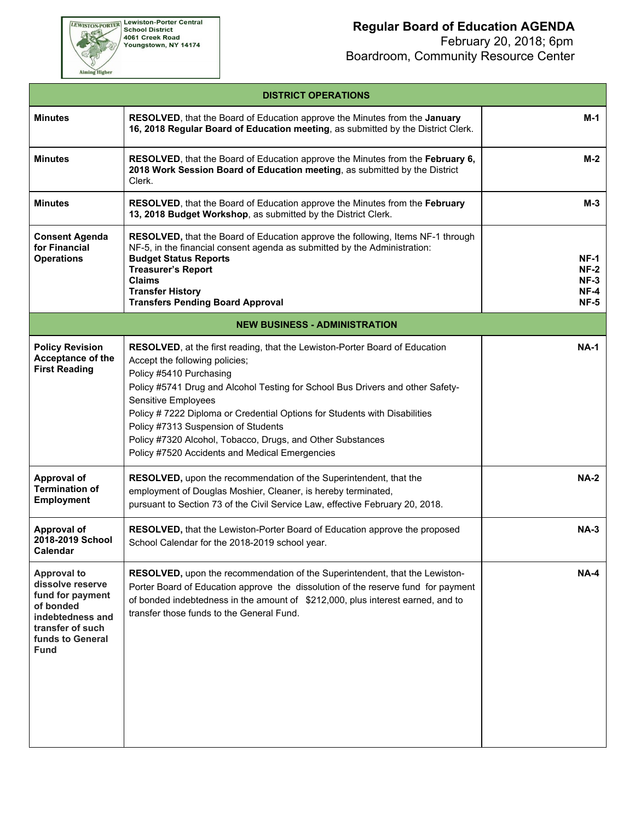EWISTON-PORTER Lewiston-Porter Central<br>School District<br>4061 Creek Road<br>Youngstown, NY 14174

Aiming Higher

# **Regular Board of Education AGENDA**

 February 20, 2018; 6pm Boardroom, Community Resource Center

| <b>DISTRICT OPERATIONS</b>                                                                                                                         |                                                                                                                                                                                                                                                                                                                                                                                                                                                                                                |                                                     |  |  |  |  |  |
|----------------------------------------------------------------------------------------------------------------------------------------------------|------------------------------------------------------------------------------------------------------------------------------------------------------------------------------------------------------------------------------------------------------------------------------------------------------------------------------------------------------------------------------------------------------------------------------------------------------------------------------------------------|-----------------------------------------------------|--|--|--|--|--|
| <b>Minutes</b>                                                                                                                                     | RESOLVED, that the Board of Education approve the Minutes from the January<br>16, 2018 Regular Board of Education meeting, as submitted by the District Clerk.                                                                                                                                                                                                                                                                                                                                 | $M-1$                                               |  |  |  |  |  |
| <b>Minutes</b>                                                                                                                                     | RESOLVED, that the Board of Education approve the Minutes from the February 6,<br>2018 Work Session Board of Education meeting, as submitted by the District<br>Clerk.                                                                                                                                                                                                                                                                                                                         | $M-2$                                               |  |  |  |  |  |
| <b>Minutes</b>                                                                                                                                     | <b>RESOLVED</b> , that the Board of Education approve the Minutes from the February<br>13, 2018 Budget Workshop, as submitted by the District Clerk.                                                                                                                                                                                                                                                                                                                                           | $M-3$                                               |  |  |  |  |  |
| <b>Consent Agenda</b><br>for Financial<br><b>Operations</b>                                                                                        | RESOLVED, that the Board of Education approve the following, Items NF-1 through<br>NF-5, in the financial consent agenda as submitted by the Administration:<br><b>Budget Status Reports</b><br><b>Treasurer's Report</b><br><b>Claims</b><br><b>Transfer History</b><br><b>Transfers Pending Board Approval</b>                                                                                                                                                                               | <b>NF-1</b><br>$NF-2$<br>$NF-3$<br>$NF-4$<br>$NF-5$ |  |  |  |  |  |
|                                                                                                                                                    | <b>NEW BUSINESS - ADMINISTRATION</b>                                                                                                                                                                                                                                                                                                                                                                                                                                                           |                                                     |  |  |  |  |  |
| <b>Policy Revision</b><br>Acceptance of the<br><b>First Reading</b>                                                                                | <b>RESOLVED</b> , at the first reading, that the Lewiston-Porter Board of Education<br>Accept the following policies;<br>Policy #5410 Purchasing<br>Policy #5741 Drug and Alcohol Testing for School Bus Drivers and other Safety-<br>Sensitive Employees<br>Policy # 7222 Diploma or Credential Options for Students with Disabilities<br>Policy #7313 Suspension of Students<br>Policy #7320 Alcohol, Tobacco, Drugs, and Other Substances<br>Policy #7520 Accidents and Medical Emergencies | <b>NA-1</b>                                         |  |  |  |  |  |
| <b>Approval of</b><br><b>Termination of</b><br><b>Employment</b>                                                                                   | RESOLVED, upon the recommendation of the Superintendent, that the<br>employment of Douglas Moshier, Cleaner, is hereby terminated,<br>pursuant to Section 73 of the Civil Service Law, effective February 20, 2018.                                                                                                                                                                                                                                                                            | <b>NA-2</b>                                         |  |  |  |  |  |
| <b>Approval of</b><br>2018-2019 School<br>Calendar                                                                                                 | RESOLVED, that the Lewiston-Porter Board of Education approve the proposed<br>School Calendar for the 2018-2019 school year.                                                                                                                                                                                                                                                                                                                                                                   | $NA-3$                                              |  |  |  |  |  |
| <b>Approval to</b><br>dissolve reserve<br>fund for payment<br>of bonded<br>indebtedness and<br>transfer of such<br>funds to General<br><b>Fund</b> | RESOLVED, upon the recommendation of the Superintendent, that the Lewiston-<br>Porter Board of Education approve the dissolution of the reserve fund for payment<br>of bonded indebtedness in the amount of \$212,000, plus interest earned, and to<br>transfer those funds to the General Fund.                                                                                                                                                                                               | $NA-4$                                              |  |  |  |  |  |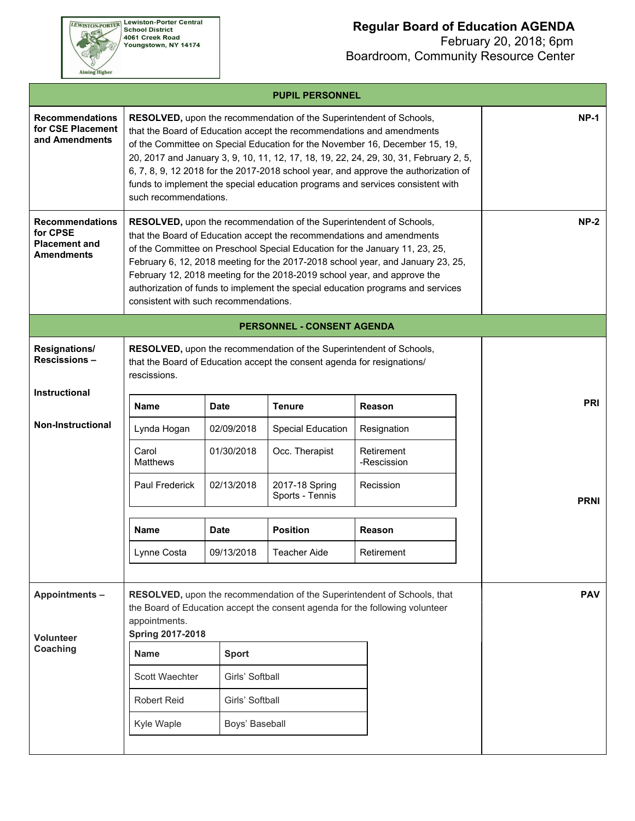

#### **Regular Board of Education AGENDA**

 February 20, 2018; 6pm Boardroom, Community Resource Center

| <b>Recommendations</b><br>for CSE Placement<br>and Amendments                   | such recommendations.                    |                 | RESOLVED, upon the recommendation of the Superintendent of Schools,<br>that the Board of Education accept the recommendations and amendments<br>of the Committee on Special Education for the November 16, December 15, 19,<br>20, 2017 and January 3, 9, 10, 11, 12, 17, 18, 19, 22, 24, 29, 30, 31, February 2, 5,<br>6, 7, 8, 9, 12 2018 for the 2017-2018 school year, and approve the authorization of<br>funds to implement the special education programs and services consistent with | $NP-1$                    |  |            |
|---------------------------------------------------------------------------------|------------------------------------------|-----------------|-----------------------------------------------------------------------------------------------------------------------------------------------------------------------------------------------------------------------------------------------------------------------------------------------------------------------------------------------------------------------------------------------------------------------------------------------------------------------------------------------|---------------------------|--|------------|
| <b>Recommendations</b><br>for CPSE<br><b>Placement and</b><br><b>Amendments</b> | consistent with such recommendations.    |                 | RESOLVED, upon the recommendation of the Superintendent of Schools,<br>that the Board of Education accept the recommendations and amendments<br>of the Committee on Preschool Special Education for the January 11, 23, 25,<br>February 6, 12, 2018 meeting for the 2017-2018 school year, and January 23, 25,<br>February 12, 2018 meeting for the 2018-2019 school year, and approve the<br>authorization of funds to implement the special education programs and services                 | <b>NP-2</b>               |  |            |
|                                                                                 |                                          |                 | <b>PERSONNEL - CONSENT AGENDA</b>                                                                                                                                                                                                                                                                                                                                                                                                                                                             |                           |  |            |
| Resignations/<br><b>Rescissions-</b>                                            | rescissions.                             |                 | RESOLVED, upon the recommendation of the Superintendent of Schools,<br>that the Board of Education accept the consent agenda for resignations/                                                                                                                                                                                                                                                                                                                                                |                           |  |            |
| Instructional                                                                   | <b>Name</b>                              | <b>Date</b>     | <b>Tenure</b>                                                                                                                                                                                                                                                                                                                                                                                                                                                                                 | Reason                    |  | <b>PRI</b> |
| <b>Non-Instructional</b>                                                        | Lynda Hogan                              | 02/09/2018      | <b>Special Education</b>                                                                                                                                                                                                                                                                                                                                                                                                                                                                      | Resignation               |  |            |
|                                                                                 | Carol<br><b>Matthews</b>                 | 01/30/2018      | Occ. Therapist                                                                                                                                                                                                                                                                                                                                                                                                                                                                                | Retirement<br>-Rescission |  |            |
|                                                                                 | Paul Frederick                           | 02/13/2018      | 2017-18 Spring<br>Sports - Tennis                                                                                                                                                                                                                                                                                                                                                                                                                                                             | <b>PRNI</b>               |  |            |
|                                                                                 | <b>Name</b>                              | <b>Date</b>     | <b>Position</b>                                                                                                                                                                                                                                                                                                                                                                                                                                                                               | Reason                    |  |            |
|                                                                                 | Lynne Costa                              | 09/13/2018      | Teacher Aide                                                                                                                                                                                                                                                                                                                                                                                                                                                                                  | Retirement                |  |            |
|                                                                                 |                                          |                 |                                                                                                                                                                                                                                                                                                                                                                                                                                                                                               |                           |  |            |
| <b>Appointments-</b><br><b>Volunteer</b>                                        | appointments.<br><b>Spring 2017-2018</b> |                 | RESOLVED, upon the recommendation of the Superintendent of Schools, that<br>the Board of Education accept the consent agenda for the following volunteer                                                                                                                                                                                                                                                                                                                                      | <b>PAV</b>                |  |            |
| Coaching                                                                        | Name                                     | <b>Sport</b>    |                                                                                                                                                                                                                                                                                                                                                                                                                                                                                               |                           |  |            |
|                                                                                 | Scott Waechter                           | Girls' Softball |                                                                                                                                                                                                                                                                                                                                                                                                                                                                                               |                           |  |            |
|                                                                                 | <b>Robert Reid</b>                       | Girls' Softball |                                                                                                                                                                                                                                                                                                                                                                                                                                                                                               |                           |  |            |
|                                                                                 | Kyle Waple                               | Boys' Baseball  |                                                                                                                                                                                                                                                                                                                                                                                                                                                                                               |                           |  |            |
|                                                                                 |                                          |                 |                                                                                                                                                                                                                                                                                                                                                                                                                                                                                               |                           |  |            |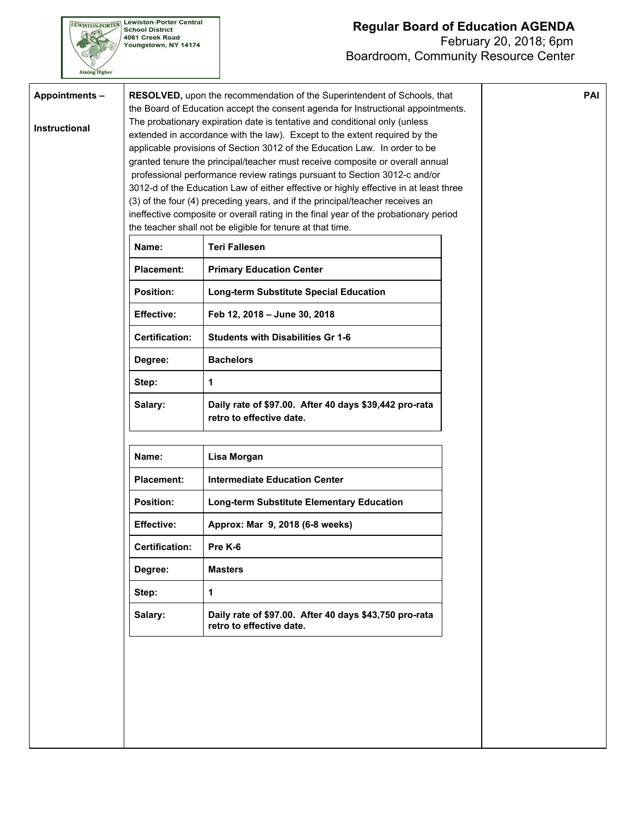### **Regular Board of Education AGENDA** February 20, 2018; 6pm Boardroom, Community Resource Center

**PAI**



**Appointments –**

**Instructional**

**Lewiston-Porter Central School District** 4061 Creek Road Youngstown, NY 14174

**RESOLVED,** upon the recommendation of the Superintendent of Schools, that the Board of Education accept the consent agenda for Instructional appointments. The probationary expiration date is tentative and conditional only (unless extended in accordance with the law). Except to the extent required by the applicable provisions of Section 3012 of the Education Law. In order to be granted tenure the principal/teacher must receive composite or overall annual professional performance review ratings pursuant to Section 3012-c and/or 3012-d of the Education Law of either effective or highly effective in at least three (3) of the four (4) preceding years, and if the principal/teacher receives an ineffective composite or overall rating in the final year of the probationary period the teacher shall not be eligible for tenure at that time.

| Name:                 | <b>Teri Fallesen</b>                                                               |
|-----------------------|------------------------------------------------------------------------------------|
| Placement:            | <b>Primary Education Center</b>                                                    |
| <b>Position:</b>      | Long-term Substitute Special Education                                             |
| <b>Effective:</b>     | Feb 12, 2018 – June 30, 2018                                                       |
| <b>Certification:</b> | <b>Students with Disabilities Gr 1-6</b>                                           |
| Degree:               | <b>Bachelors</b>                                                                   |
| Step:                 | 1                                                                                  |
| Salary:               | Daily rate of \$97.00. After 40 days \$39,442 pro-rata<br>retro to effective date. |

| Name:                 | Lisa Morgan                                                                        |
|-----------------------|------------------------------------------------------------------------------------|
| Placement:            | Intermediate Education Center                                                      |
| <b>Position:</b>      | Long-term Substitute Elementary Education                                          |
| <b>Effective:</b>     | Approx: Mar 9, 2018 (6-8 weeks)                                                    |
| <b>Certification:</b> | Pre K-6                                                                            |
| Degree:               | <b>Masters</b>                                                                     |
| Step:                 | 1                                                                                  |
| Salary:               | Daily rate of \$97.00. After 40 days \$43,750 pro-rata<br>retro to effective date. |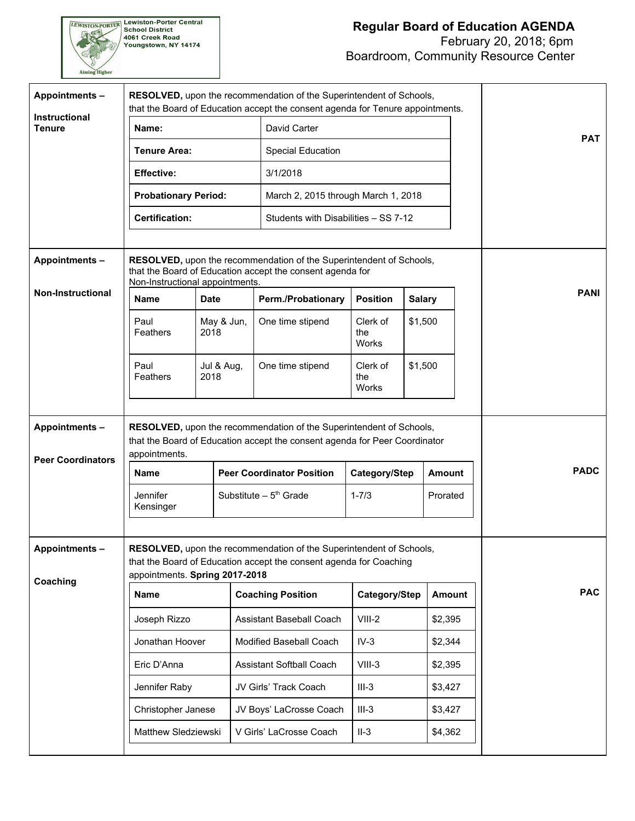# **Regular Board of Education AGENDA**

 February 20, 2018; 6pm Boardroom, Community Resource Center

| Appointments-<br><b>Instructional</b><br><b>Tenure</b> | RESOLVED, upon the recommendation of the Superintendent of Schools,<br>that the Board of Education accept the consent agenda for Tenure appointments.<br>Name:              |                    |  |                                                                                                                                  |                                 |               |               |             |
|--------------------------------------------------------|-----------------------------------------------------------------------------------------------------------------------------------------------------------------------------|--------------------|--|----------------------------------------------------------------------------------------------------------------------------------|---------------------------------|---------------|---------------|-------------|
|                                                        | <b>Tenure Area:</b>                                                                                                                                                         |                    |  | David Carter<br>Special Education                                                                                                |                                 |               |               | <b>PAT</b>  |
|                                                        |                                                                                                                                                                             |                    |  | 3/1/2018                                                                                                                         |                                 |               |               |             |
|                                                        | <b>Effective:</b>                                                                                                                                                           |                    |  |                                                                                                                                  |                                 |               |               |             |
|                                                        | <b>Probationary Period:</b>                                                                                                                                                 |                    |  | March 2, 2015 through March 1, 2018                                                                                              |                                 |               |               |             |
|                                                        | <b>Certification:</b>                                                                                                                                                       |                    |  | Students with Disabilities - SS 7-12                                                                                             |                                 |               |               |             |
| <b>Appointments-</b>                                   | Non-Instructional appointments.                                                                                                                                             |                    |  | RESOLVED, upon the recommendation of the Superintendent of Schools,<br>that the Board of Education accept the consent agenda for |                                 |               |               |             |
| <b>Non-Instructional</b>                               | <b>Name</b>                                                                                                                                                                 | Date               |  | <b>Perm./Probationary</b>                                                                                                        | <b>Position</b>                 |               | <b>Salary</b> | <b>PANI</b> |
|                                                        | Paul<br>Feathers                                                                                                                                                            | May & Jun,<br>2018 |  | One time stipend                                                                                                                 | Clerk of<br>the<br><b>Works</b> |               | \$1,500       |             |
|                                                        | Paul<br>Feathers                                                                                                                                                            | Jul & Aug,<br>2018 |  | One time stipend                                                                                                                 | Clerk of<br>the<br>Works        |               | \$1,500       |             |
| <b>Appointments-</b><br><b>Peer Coordinators</b>       | RESOLVED, upon the recommendation of the Superintendent of Schools,<br>that the Board of Education accept the consent agenda for Peer Coordinator<br>appointments.          |                    |  |                                                                                                                                  |                                 |               |               |             |
|                                                        | <b>Name</b>                                                                                                                                                                 |                    |  | <b>Peer Coordinator Position</b><br>Category/Step                                                                                |                                 | <b>Amount</b> |               | <b>PADC</b> |
|                                                        | Jennifer<br>Kensinger                                                                                                                                                       |                    |  | Substitute $-5th$ Grade                                                                                                          | $1 - 7/3$                       |               | Prorated      |             |
| <b>Appointments-</b><br>Coaching                       | RESOLVED, upon the recommendation of the Superintendent of Schools,<br>that the Board of Education accept the consent agenda for Coaching<br>appointments. Spring 2017-2018 |                    |  |                                                                                                                                  |                                 |               |               |             |
|                                                        | <b>Name</b>                                                                                                                                                                 |                    |  | <b>Coaching Position</b>                                                                                                         | Category/Step                   |               | <b>Amount</b> | <b>PAC</b>  |
|                                                        | Joseph Rizzo                                                                                                                                                                |                    |  | Assistant Baseball Coach                                                                                                         | $VIII-2$                        |               | \$2,395       |             |
|                                                        | Jonathan Hoover                                                                                                                                                             |                    |  | Modified Baseball Coach                                                                                                          | $IV-3$                          |               | \$2,344       |             |
|                                                        | Eric D'Anna                                                                                                                                                                 |                    |  | <b>Assistant Softball Coach</b>                                                                                                  | $VIII-3$                        |               | \$2,395       |             |
|                                                        | Jennifer Raby                                                                                                                                                               |                    |  | JV Girls' Track Coach                                                                                                            | $III-3$                         |               | \$3,427       |             |
|                                                        | Christopher Janese                                                                                                                                                          |                    |  | JV Boys' LaCrosse Coach                                                                                                          | $III-3$                         |               | \$3,427       |             |
|                                                        | Matthew Sledziewski                                                                                                                                                         |                    |  | V Girls' LaCrosse Coach                                                                                                          | $II-3$                          |               | \$4,362       |             |
|                                                        |                                                                                                                                                                             |                    |  |                                                                                                                                  |                                 |               |               |             |

EWISTON-PORTER Lewiston-Porter Central<br>School District<br>4061 Creek Road<br>Youngstown, NY 14174

Aiming Higher